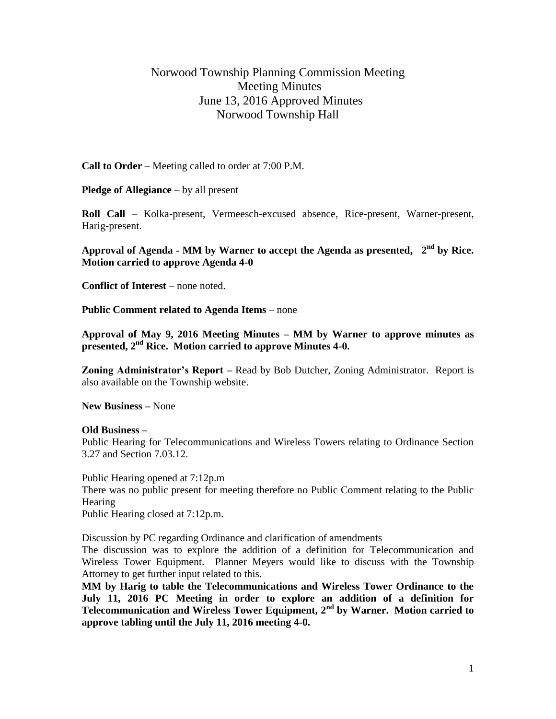## Norwood Township Planning Commission Meeting Meeting Minutes June 13, 2016 Approved Minutes Norwood Township Hall

**Call to Order** – Meeting called to order at 7:00 P.M.

**Pledge of Allegiance** – by all present

**Roll Call** – Kolka-present, Vermeesch-excused absence, Rice-present, Warner-present, Harig-present.

**Approval of Agenda - MM by Warner to accept the Agenda as presented, 2 nd by Rice. Motion carried to approve Agenda 4-0**

**Conflict of Interest** – none noted.

**Public Comment related to Agenda Items** – none

**Approval of May 9, 2016 Meeting Minutes – MM by Warner to approve minutes as presented, 2nd Rice. Motion carried to approve Minutes 4-0.**

**Zoning Administrator's Report –** Read by Bob Dutcher, Zoning Administrator. Report is also available on the Township website.

**New Business –** None

## **Old Business –**

Public Hearing for Telecommunications and Wireless Towers relating to Ordinance Section 3.27 and Section 7.03.12.

Public Hearing opened at 7:12p.m There was no public present for meeting therefore no Public Comment relating to the Public Hearing Public Hearing closed at 7:12p.m.

Discussion by PC regarding Ordinance and clarification of amendments

The discussion was to explore the addition of a definition for Telecommunication and Wireless Tower Equipment. Planner Meyers would like to discuss with the Township Attorney to get further input related to this.

**MM by Harig to table the Telecommunications and Wireless Tower Ordinance to the July 11, 2016 PC Meeting in order to explore an addition of a definition for Telecommunication and Wireless Tower Equipment, 2nd by Warner. Motion carried to approve tabling until the July 11, 2016 meeting 4-0.**